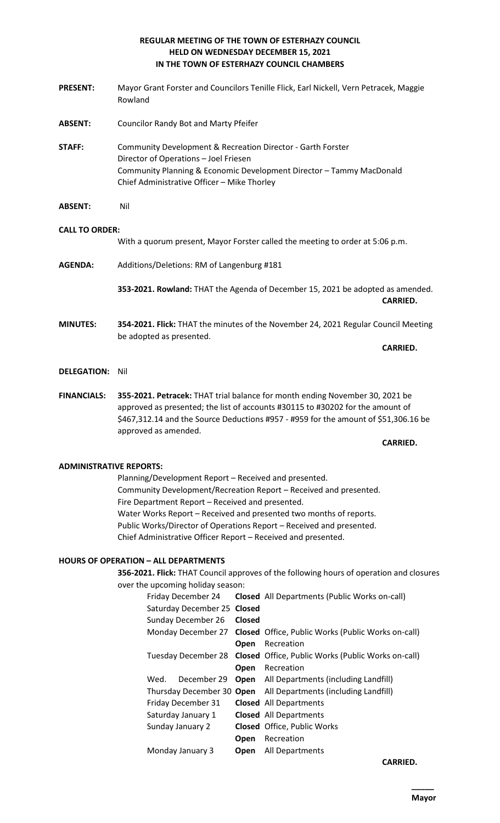# **REGULAR MEETING OF THE TOWN OF ESTERHAZY COUNCIL HELD ON WEDNESDAY DECEMBER 15, 2021 IN THE TOWN OF ESTERHAZY COUNCIL CHAMBERS**

- **PRESENT:** Mayor Grant Forster and Councilors Tenille Flick, Earl Nickell, Vern Petracek, Maggie Rowland
- **ABSENT:** Councilor Randy Bot and Marty Pfeifer
- **STAFF:** Community Development & Recreation Director Garth Forster Director of Operations – Joel Friesen Community Planning & Economic Development Director – Tammy MacDonald Chief Administrative Officer – Mike Thorley
- **ABSENT:** Nil

## **CALL TO ORDER:**

With a quorum present, Mayor Forster called the meeting to order at 5:06 p.m.

**AGENDA:** Additions/Deletions: RM of Langenburg #181

**353-2021. Rowland:** THAT the Agenda of December 15, 2021 be adopted as amended. **CARRIED.** 

**MINUTES: 354-2021. Flick:** THAT the minutes of the November 24, 2021 Regular Council Meeting be adopted as presented.

**CARRIED.**

## **DELEGATION:** Nil

**FINANCIALS: 355-2021. Petracek:** THAT trial balance for month ending November 30, 2021 be approved as presented; the list of accounts #30115 to #30202 for the amount of \$467,312.14 and the Source Deductions #957 - #959 for the amount of \$51,306.16 be approved as amended.

**CARRIED.** 

# **ADMINISTRATIVE REPORTS:**

Planning/Development Report – Received and presented. Community Development/Recreation Report – Received and presented. Fire Department Report – Received and presented. Water Works Report – Received and presented two months of reports. Public Works/Director of Operations Report – Received and presented. Chief Administrative Officer Report – Received and presented.

# **HOURS OF OPERATION – ALL DEPARTMENTS**

**356-2021. Flick:** THAT Council approves of the following hours of operation and closures over the upcoming holiday season:

| Friday December 24        |                             |             | <b>Closed</b> All Departments (Public Works on-call)                   |                                                  |
|---------------------------|-----------------------------|-------------|------------------------------------------------------------------------|--------------------------------------------------|
|                           | Saturday December 25 Closed |             |                                                                        |                                                  |
| Sunday December 26        |                             | Closed      |                                                                        |                                                  |
|                           |                             |             | Monday December 27 Closed Office, Public Works (Public Works on-call)  |                                                  |
|                           |                             | Open        | Recreation                                                             |                                                  |
|                           |                             |             | Tuesday December 28 Closed Office, Public Works (Public Works on-call) |                                                  |
|                           |                             | Open        | Recreation                                                             |                                                  |
|                           | Wed.                        | December 29 |                                                                        | <b>Open</b> All Departments (including Landfill) |
| Thursday December 30 Open |                             |             | All Departments (including Landfill)                                   |                                                  |
| Friday December 31        |                             |             |                                                                        | <b>Closed</b> All Departments                    |
| Saturday January 1        |                             |             |                                                                        | <b>Closed</b> All Departments                    |
| Sunday January 2          |                             |             |                                                                        | <b>Closed</b> Office, Public Works               |
|                           |                             |             | Open                                                                   | Recreation                                       |
| Monday January 3          |                             |             | Open                                                                   | All Departments                                  |
|                           |                             |             |                                                                        |                                                  |

**CARRIED.**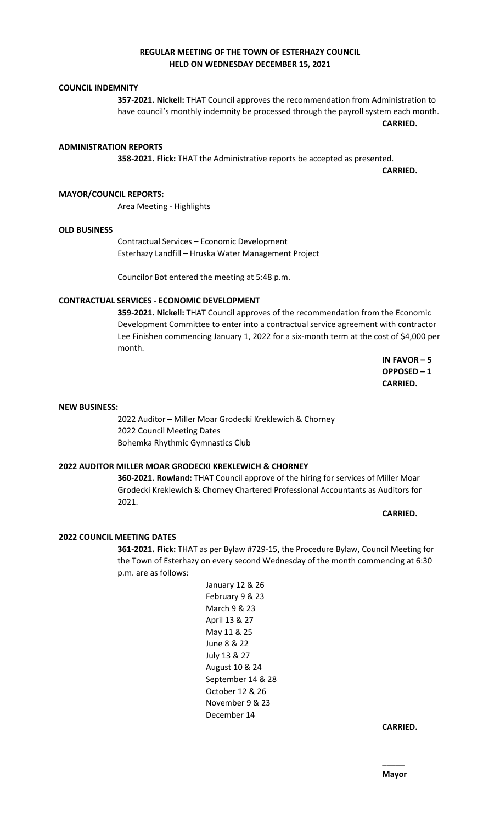## **REGULAR MEETING OF THE TOWN OF ESTERHAZY COUNCIL HELD ON WEDNESDAY DECEMBER 15, 2021**

## **COUNCIL INDEMNITY**

**357-2021. Nickell:** THAT Council approves the recommendation from Administration to have council's monthly indemnity be processed through the payroll system each month.

**CARRIED.** 

#### **ADMINISTRATION REPORTS**

**358-2021. Flick:** THAT the Administrative reports be accepted as presented.

**CARRIED.**

## **MAYOR/COUNCIL REPORTS:**

Area Meeting - Highlights

#### **OLD BUSINESS**

Contractual Services – Economic Development Esterhazy Landfill – Hruska Water Management Project

Councilor Bot entered the meeting at 5:48 p.m.

## **CONTRACTUAL SERVICES - ECONOMIC DEVELOPMENT**

**359-2021. Nickell:** THAT Council approves of the recommendation from the Economic Development Committee to enter into a contractual service agreement with contractor Lee Finishen commencing January 1, 2022 for a six-month term at the cost of \$4,000 per month.

> **IN FAVOR – 5 OPPOSED – 1 CARRIED.**

#### **NEW BUSINESS:**

2022 Auditor – Miller Moar Grodecki Kreklewich & Chorney 2022 Council Meeting Dates Bohemka Rhythmic Gymnastics Club

## **2022 AUDITOR MILLER MOAR GRODECKI KREKLEWICH & CHORNEY**

**360-2021. Rowland:** THAT Council approve of the hiring for services of Miller Moar Grodecki Kreklewich & Chorney Chartered Professional Accountants as Auditors for 2021.

**CARRIED. 2022 COUNCIL MEETING DATES**

# **361-2021. Flick:** THAT as per Bylaw #729-15, the Procedure Bylaw, Council Meeting for the Town of Esterhazy on every second Wednesday of the month commencing at 6:30 p.m. are as follows:

January 12 & 26 February 9 & 23 March 9 & 23 April 13 & 27 May 11 & 25 June 8 & 22 July 13 & 27 August 10 & 24 September 14 & 28 October 12 & 26 November 9 & 23 December 14

**CARRIED.**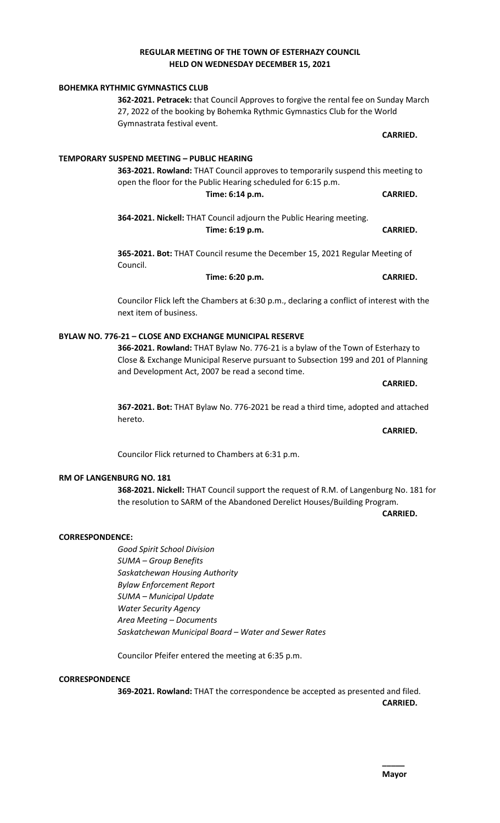## **REGULAR MEETING OF THE TOWN OF ESTERHAZY COUNCIL HELD ON WEDNESDAY DECEMBER 15, 2021**

# **CARRIED. TEMPORARY SUSPEND MEETING – PUBLIC HEARING 363-2021. Rowland:** THAT Council approves to temporarily suspend this meeting to open the floor for the Public Hearing scheduled for 6:15 p.m. **Time: 6:14 p.m. CARRIED. 364-2021. Nickell:** THAT Council adjourn the Public Hearing meeting. **Time: 6:19 p.m. CARRIED. 365-2021. Bot:** THAT Council resume the December 15, 2021 Regular Meeting of Council. **Time: 6:20 p.m. CARRIED.** Councilor Flick left the Chambers at 6:30 p.m., declaring a conflict of interest with the next item of business. **366-2021. Rowland:** THAT Bylaw No. 776-21 is a bylaw of the Town of Esterhazy to and Development Act, 2007 be read a second time. **CARRIED. 367-2021. Bot:** THAT Bylaw No. 776-2021 be read a third time, adopted and attached hereto. **CARRIED.**

**RM OF LANGENBURG NO. 181**

**368-2021. Nickell:** THAT Council support the request of R.M. of Langenburg No. 181 for the resolution to SARM of the Abandoned Derelict Houses/Building Program.

**CARRIED.** 

#### **CORRESPONDENCE:**

*Good Spirit School Division SUMA – Group Benefits Saskatchewan Housing Authority Bylaw Enforcement Report SUMA – Municipal Update Water Security Agency Area Meeting – Documents Saskatchewan Municipal Board – Water and Sewer Rates*

Councilor Pfeifer entered the meeting at 6:35 p.m.

#### **CORRESPONDENCE**

**369-2021. Rowland:** THAT the correspondence be accepted as presented and filed. **CARRIED.** 

**BOHEMKA RYTHMIC GYMNASTICS CLUB**

**362-2021. Petracek:** that Council Approves to forgive the rental fee on Sunday March 27, 2022 of the booking by Bohemka Rythmic Gymnastics Club for the World Gymnastrata festival event.

# **BYLAW NO. 776-21 – CLOSE AND EXCHANGE MUNICIPAL RESERVE**

Close & Exchange Municipal Reserve pursuant to Subsection 199 and 201 of Planning

Councilor Flick returned to Chambers at 6:31 p.m.